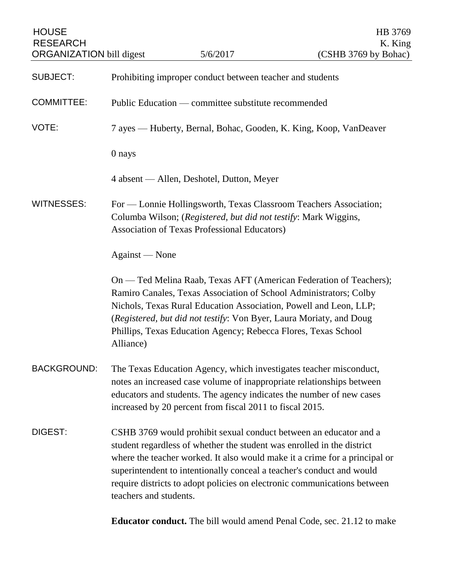| <b>HOUSE</b><br><b>RESEARCH</b><br><b>ORGANIZATION bill digest</b> |                                                                   | 5/6/2017                                                                                                                                                                                                                                                                        | HB 3769<br>K. King<br>(CSHB 3769 by Bohac)                                                                                                             |
|--------------------------------------------------------------------|-------------------------------------------------------------------|---------------------------------------------------------------------------------------------------------------------------------------------------------------------------------------------------------------------------------------------------------------------------------|--------------------------------------------------------------------------------------------------------------------------------------------------------|
| <b>SUBJECT:</b>                                                    | Prohibiting improper conduct between teacher and students         |                                                                                                                                                                                                                                                                                 |                                                                                                                                                        |
| <b>COMMITTEE:</b>                                                  | Public Education — committee substitute recommended               |                                                                                                                                                                                                                                                                                 |                                                                                                                                                        |
| VOTE:                                                              | 7 ayes — Huberty, Bernal, Bohac, Gooden, K. King, Koop, VanDeaver |                                                                                                                                                                                                                                                                                 |                                                                                                                                                        |
|                                                                    | 0 nays                                                            |                                                                                                                                                                                                                                                                                 |                                                                                                                                                        |
|                                                                    |                                                                   | 4 absent — Allen, Deshotel, Dutton, Meyer                                                                                                                                                                                                                                       |                                                                                                                                                        |
| <b>WITNESSES:</b>                                                  |                                                                   | For — Lonnie Hollingsworth, Texas Classroom Teachers Association;<br>Columba Wilson; (Registered, but did not testify: Mark Wiggins,<br><b>Association of Texas Professional Educators)</b>                                                                                     |                                                                                                                                                        |
|                                                                    | Against — None                                                    |                                                                                                                                                                                                                                                                                 |                                                                                                                                                        |
|                                                                    | Alliance)                                                         | Ramiro Canales, Texas Association of School Administrators; Colby<br>Nichols, Texas Rural Education Association, Powell and Leon, LLP;<br>(Registered, but did not testify: Von Byer, Laura Moriaty, and Doug<br>Phillips, Texas Education Agency; Rebecca Flores, Texas School | On — Ted Melina Raab, Texas AFT (American Federation of Teachers);                                                                                     |
| <b>BACKGROUND:</b>                                                 |                                                                   | The Texas Education Agency, which investigates teacher misconduct,<br>notes an increased case volume of inappropriate relationships between<br>educators and students. The agency indicates the number of new cases<br>increased by 20 percent from fiscal 2011 to fiscal 2015. |                                                                                                                                                        |
| DIGEST:                                                            | teachers and students.                                            | CSHB 3769 would prohibit sexual conduct between an educator and a<br>student regardless of whether the student was enrolled in the district<br>superintendent to intentionally conceal a teacher's conduct and would                                                            | where the teacher worked. It also would make it a crime for a principal or<br>require districts to adopt policies on electronic communications between |

**Educator conduct.** The bill would amend Penal Code, sec. 21.12 to make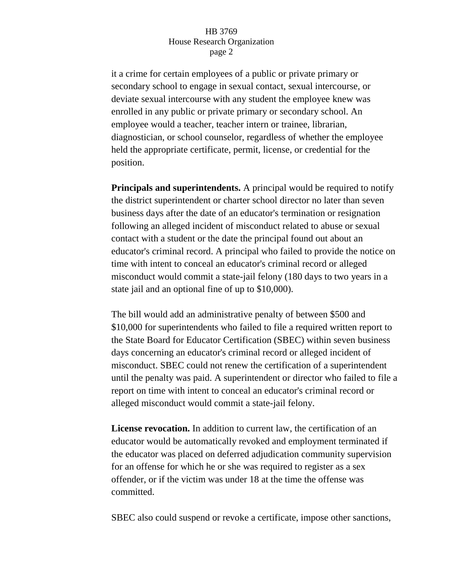## HB 3769 House Research Organization page 2

it a crime for certain employees of a public or private primary or secondary school to engage in sexual contact, sexual intercourse, or deviate sexual intercourse with any student the employee knew was enrolled in any public or private primary or secondary school. An employee would a teacher, teacher intern or trainee, librarian, diagnostician, or school counselor, regardless of whether the employee held the appropriate certificate, permit, license, or credential for the position.

**Principals and superintendents.** A principal would be required to notify the district superintendent or charter school director no later than seven business days after the date of an educator's termination or resignation following an alleged incident of misconduct related to abuse or sexual contact with a student or the date the principal found out about an educator's criminal record. A principal who failed to provide the notice on time with intent to conceal an educator's criminal record or alleged misconduct would commit a state-jail felony (180 days to two years in a state jail and an optional fine of up to \$10,000).

The bill would add an administrative penalty of between \$500 and \$10,000 for superintendents who failed to file a required written report to the State Board for Educator Certification (SBEC) within seven business days concerning an educator's criminal record or alleged incident of misconduct. SBEC could not renew the certification of a superintendent until the penalty was paid. A superintendent or director who failed to file a report on time with intent to conceal an educator's criminal record or alleged misconduct would commit a state-jail felony.

**License revocation.** In addition to current law, the certification of an educator would be automatically revoked and employment terminated if the educator was placed on deferred adjudication community supervision for an offense for which he or she was required to register as a sex offender, or if the victim was under 18 at the time the offense was committed.

SBEC also could suspend or revoke a certificate, impose other sanctions,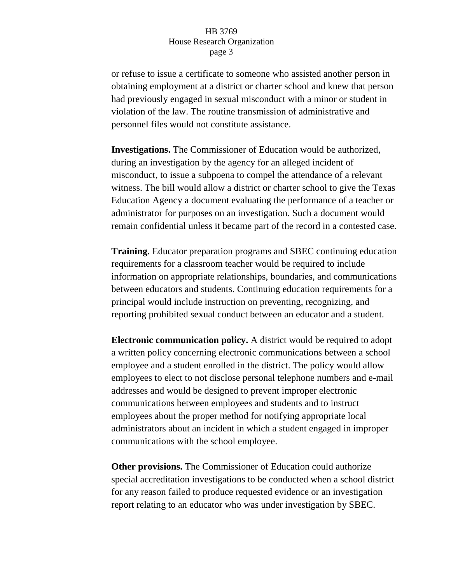## HB 3769 House Research Organization page 3

or refuse to issue a certificate to someone who assisted another person in obtaining employment at a district or charter school and knew that person had previously engaged in sexual misconduct with a minor or student in violation of the law. The routine transmission of administrative and personnel files would not constitute assistance.

**Investigations.** The Commissioner of Education would be authorized, during an investigation by the agency for an alleged incident of misconduct, to issue a subpoena to compel the attendance of a relevant witness. The bill would allow a district or charter school to give the Texas Education Agency a document evaluating the performance of a teacher or administrator for purposes on an investigation. Such a document would remain confidential unless it became part of the record in a contested case.

**Training.** Educator preparation programs and SBEC continuing education requirements for a classroom teacher would be required to include information on appropriate relationships, boundaries, and communications between educators and students. Continuing education requirements for a principal would include instruction on preventing, recognizing, and reporting prohibited sexual conduct between an educator and a student.

**Electronic communication policy.** A district would be required to adopt a written policy concerning electronic communications between a school employee and a student enrolled in the district. The policy would allow employees to elect to not disclose personal telephone numbers and e-mail addresses and would be designed to prevent improper electronic communications between employees and students and to instruct employees about the proper method for notifying appropriate local administrators about an incident in which a student engaged in improper communications with the school employee.

**Other provisions.** The Commissioner of Education could authorize special accreditation investigations to be conducted when a school district for any reason failed to produce requested evidence or an investigation report relating to an educator who was under investigation by SBEC.